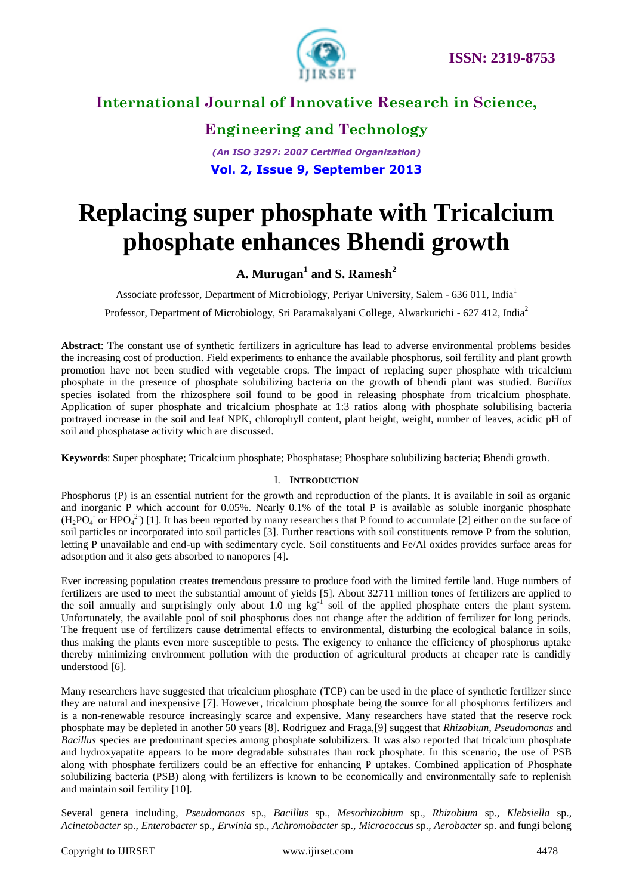

### **Engineering and Technology**

*(An ISO 3297: 2007 Certified Organization)* **Vol. 2, Issue 9, September 2013**

# **Replacing super phosphate with Tricalcium phosphate enhances Bhendi growth**

### **A. Murugan<sup>1</sup> and S. Ramesh<sup>2</sup>**

Associate professor, Department of Microbiology, Periyar University, Salem - 636 011, India<sup>1</sup>

Professor, Department of Microbiology, Sri Paramakalyani College, Alwarkurichi - 627 412, India<sup>2</sup>

**Abstract**: The constant use of synthetic fertilizers in agriculture has lead to adverse environmental problems besides the increasing cost of production. Field experiments to enhance the available phosphorus, soil fertility and plant growth promotion have not been studied with vegetable crops. The impact of replacing super phosphate with tricalcium phosphate in the presence of phosphate solubilizing bacteria on the growth of bhendi plant was studied. *Bacillus* species isolated from the rhizosphere soil found to be good in releasing phosphate from tricalcium phosphate. Application of super phosphate and tricalcium phosphate at 1:3 ratios along with phosphate solubilising bacteria portrayed increase in the soil and leaf NPK, chlorophyll content, plant height, weight, number of leaves, acidic pH of soil and phosphatase activity which are discussed.

**Keywords**: Super phosphate; Tricalcium phosphate; Phosphatase; Phosphate solubilizing bacteria; Bhendi growth.

#### I. **INTRODUCTION**

Phosphorus (P) is an essential nutrient for the growth and reproduction of the plants. It is available in soil as organic and inorganic P which account for 0.05%. Nearly 0.1% of the total P is available as soluble inorganic phosphate  $(H_2PO_4$  or HPO<sub>4</sub><sup>2</sup>) [1]. It has been reported by many researchers that P found to accumulate [2] either on the surface of soil particles or incorporated into soil particles [3]. Further reactions with soil constituents remove P from the solution, letting P unavailable and end-up with sedimentary cycle. Soil constituents and Fe/Al oxides provides surface areas for adsorption and it also gets absorbed to nanopores [4].

Ever increasing population creates tremendous pressure to produce food with the limited fertile land. Huge numbers of fertilizers are used to meet the substantial amount of yields [5]. About 32711 million tones of fertilizers are applied to the soil annually and surprisingly only about 1.0 mg  $kg^{-1}$  soil of the applied phosphate enters the plant system. Unfortunately, the available pool of soil phosphorus does not change after the addition of fertilizer for long periods. The frequent use of fertilizers cause detrimental effects to environmental, disturbing the ecological balance in soils, thus making the plants even more susceptible to pests. The exigency to enhance the efficiency of phosphorus uptake thereby minimizing environment pollution with the production of agricultural products at cheaper rate is candidly understood [6].

Many researchers have suggested that tricalcium phosphate (TCP) can be used in the place of synthetic fertilizer since they are natural and inexpensive [7]. However, tricalcium phosphate being the source for all phosphorus fertilizers and is a non-renewable resource increasingly scarce and expensive. Many researchers have stated that the reserve rock phosphate may be depleted in another 50 years [8]. Rodriguez and Fraga,[9] suggest that *Rhizobium, Pseudomonas* and *Bacillus* species are predominant species among phosphate solubilizers. It was also reported that tricalcium phosphate and hydroxyapatite appears to be more degradable substrates than rock phosphate. In this scenario**,** the use of PSB along with phosphate fertilizers could be an effective for enhancing P uptakes. Combined application of Phosphate solubilizing bacteria (PSB) along with fertilizers is known to be economically and environmentally safe to replenish and maintain soil fertility [10].

Several genera including, *Pseudomonas* sp.*, Bacillus* sp.*, Mesorhizobium* sp.*, Rhizobium* sp.*, Klebsiella* sp.*, Acinetobacter* sp.*, Enterobacter* sp.*, Erwinia* sp.*, Achromobacter* sp.*, Micrococcus* sp.*, Aerobacter* sp. and fungi belong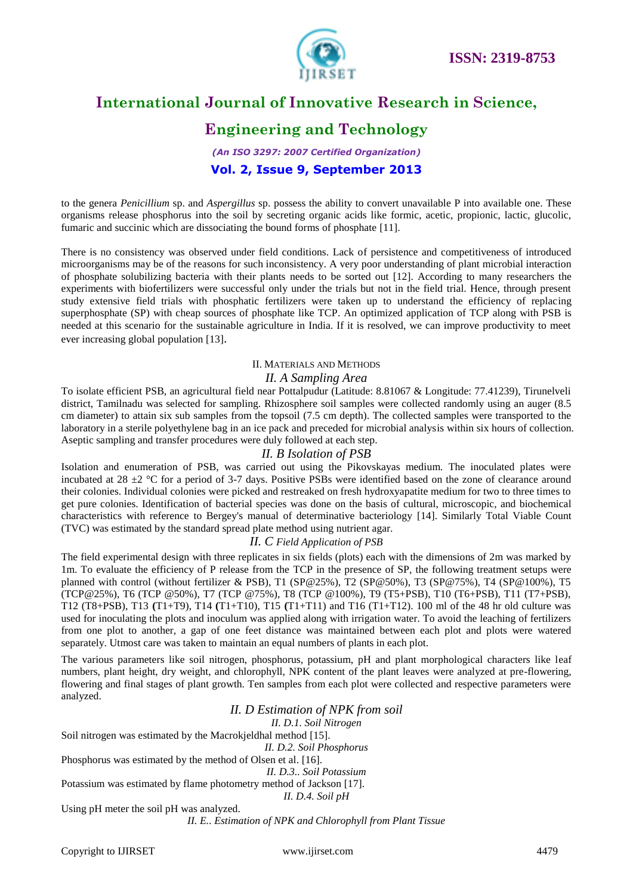

# **Engineering and Technology**

*(An ISO 3297: 2007 Certified Organization)* **Vol. 2, Issue 9, September 2013**

to the genera *Penicillium* sp. and *Aspergillus* sp. possess the ability to convert unavailable P into available one. These organisms release phosphorus into the soil by secreting organic acids like formic, acetic, propionic, lactic, glucolic, fumaric and succinic which are dissociating the bound forms of phosphate [11].

There is no consistency was observed under field conditions. Lack of persistence and competitiveness of introduced microorganisms may be of the reasons for such inconsistency. A very poor understanding of plant microbial interaction of phosphate solubilizing bacteria with their plants needs to be sorted out [12]. According to many researchers the experiments with biofertilizers were successful only under the trials but not in the field trial. Hence, through present study extensive field trials with phosphatic fertilizers were taken up to understand the efficiency of replacing superphosphate (SP) with cheap sources of phosphate like TCP. An optimized application of TCP along with PSB is needed at this scenario for the sustainable agriculture in India. If it is resolved, we can improve productivity to meet ever increasing global population [13].

#### II. MATERIALS AND METHODS

### *II. A Sampling Area*

To isolate efficient PSB, an agricultural field near Pottalpudur (Latitude: 8.81067 & Longitude: 77.41239), Tirunelveli district, Tamilnadu was selected for sampling. Rhizosphere soil samples were collected randomly using an auger (8.5 cm diameter) to attain six sub samples from the topsoil (7.5 cm depth). The collected samples were transported to the laboratory in a sterile polyethylene bag in an ice pack and preceded for microbial analysis within six hours of collection. Aseptic sampling and transfer procedures were duly followed at each step.

### *II. B Isolation of PSB*

Isolation and enumeration of PSB, was carried out using the Pikovskayas medium. The inoculated plates were incubated at 28  $\pm$ 2 °C for a period of 3-7 days. Positive PSBs were identified based on the zone of clearance around their colonies. Individual colonies were picked and restreaked on fresh hydroxyapatite medium for two to three times to get pure colonies. Identification of bacterial species was done on the basis of cultural, microscopic, and biochemical characteristics with reference to Bergey's manual of determinative bacteriology [14]. Similarly Total Viable Count (TVC) was estimated by the standard spread plate method using nutrient agar.

#### *II. C Field Application of PSB*

The field experimental design with three replicates in six fields (plots) each with the dimensions of 2m was marked by 1m. To evaluate the efficiency of P release from the TCP in the presence of SP, the following treatment setups were planned with control (without fertilizer & PSB), T1 (SP@25%), T2 (SP@50%), T3 (SP@75%), T4 (SP@100%), T5 (TCP@25%), T6 (TCP @50%), T7 (TCP @75%), T8 (TCP @100%), T9 (T5+PSB), T10 (T6+PSB), T11 (T7+PSB), T12 (T8+PSB), T13 **(**T1+T9), T14 **(**T1+T10), T15 **(**T1+T11) and T16 (T1+T12). 100 ml of the 48 hr old culture was used for inoculating the plots and inoculum was applied along with irrigation water. To avoid the leaching of fertilizers from one plot to another, a gap of one feet distance was maintained between each plot and plots were watered separately. Utmost care was taken to maintain an equal numbers of plants in each plot.

The various parameters like soil nitrogen, phosphorus, potassium, pH and plant morphological characters like leaf numbers, plant height, dry weight, and chlorophyll, NPK content of the plant leaves were analyzed at pre-flowering, flowering and final stages of plant growth. Ten samples from each plot were collected and respective parameters were analyzed.

*II. D Estimation of NPK from soil*

*II. D.1. Soil Nitrogen*

Soil nitrogen was estimated by the Macrokjeldhal method [15].

*II. D.2. Soil Phosphorus*

Phosphorus was estimated by the method of Olsen et al. [16].

*II. D.3.. Soil Potassium* Potassium was estimated by flame photometry method of Jackson [17].

*II. D.4. Soil pH*

Using pH meter the soil pH was analyzed.

*II. E.. Estimation of NPK and Chlorophyll from Plant Tissue*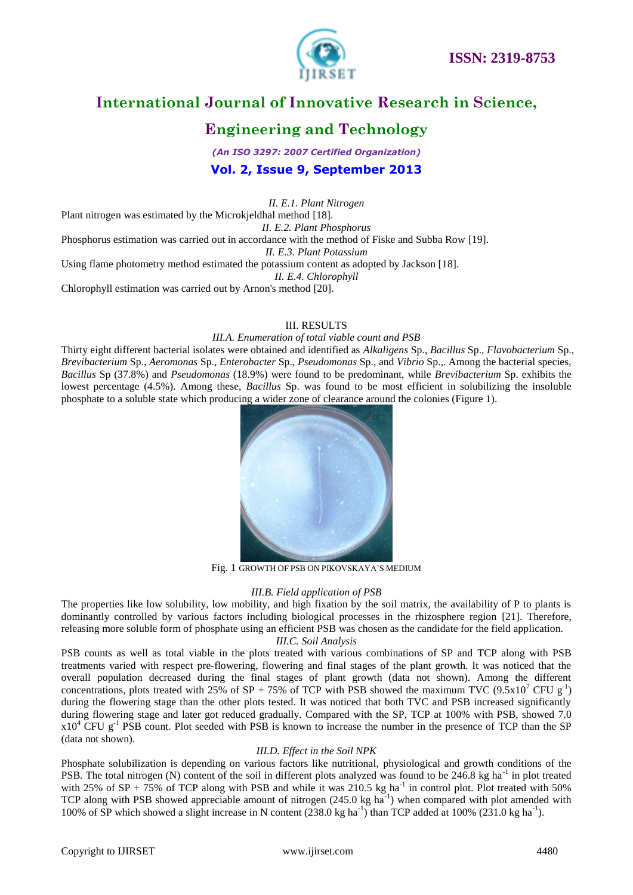

# **Engineering and Technology**

*(An ISO 3297: 2007 Certified Organization)* **Vol. 2, Issue 9, September 2013**

*II. E.1. Plant Nitrogen*

Plant nitrogen was estimated by the Microkjeldhal method [18]. *II. E.2. Plant Phosphorus* Phosphorus estimation was carried out in accordance with the method of Fiske and Subba Row [19]. *II. E.3. Plant Potassium* Using flame photometry method estimated the potassium content as adopted by Jackson [18]. *II. E.4. Chlorophyll*

Chlorophyll estimation was carried out by Arnon's method [20].

#### III. RESULTS

#### *III.A. Enumeration of total viable count and PSB*

Thirty eight different bacterial isolates were obtained and identified as *Alkaligens* Sp., *Bacillus* Sp., *Flavobacterium* Sp., *Brevibacterium* Sp., *Aeromonas* Sp., *Enterobacter* Sp., *Pseudomonas* Sp., and *Vibrio* Sp.,. Among the bacterial species, *Bacillus* Sp (37.8%) and *Pseudomonas* (18.9%) were found to be predominant, while *Brevibacterium* Sp. exhibits the lowest percentage (4.5%). Among these, *Bacillus* Sp. was found to be most efficient in solubilizing the insoluble phosphate to a soluble state which producing a wider zone of clearance around the colonies (Figure 1).



Fig. 1 GROWTH OF PSB ON PIKOVSKAYA'S MEDIUM

#### *III.B. Field application of PSB*

The properties like low solubility, low mobility, and high fixation by the soil matrix, the availability of P to plants is dominantly controlled by various factors including biological processes in the rhizosphere region [21]. Therefore, releasing more soluble form of phosphate using an efficient PSB was chosen as the candidate for the field application.

#### *III.C. Soil Analysis*

PSB counts as well as total viable in the plots treated with various combinations of SP and TCP along with PSB treatments varied with respect pre-flowering, flowering and final stages of the plant growth. It was noticed that the overall population decreased during the final stages of plant growth (data not shown). Among the different concentrations, plots treated with 25% of SP + 75% of TCP with PSB showed the maximum TVC  $(9.5 \times 10^7 \text{ CFU g}^{-1})$ during the flowering stage than the other plots tested. It was noticed that both TVC and PSB increased significantly during flowering stage and later got reduced gradually. Compared with the SP, TCP at 100% with PSB, showed 7.0  $x10^4$  CFU g<sup>-1</sup> PSB count. Plot seeded with PSB is known to increase the number in the presence of TCP than the SP (data not shown).

#### *III.D. Effect in the Soil NPK*

Phosphate solubilization is depending on various factors like nutritional, physiological and growth conditions of the PSB. The total nitrogen (N) content of the soil in different plots analyzed was found to be 246.8 kg ha<sup>-1</sup> in plot treated with 25% of SP + 75% of TCP along with PSB and while it was 210.5 kg ha<sup>-1</sup> in control plot. Plot treated with 50% TCP along with PSB showed appreciable amount of nitrogen  $(245.0 \text{ kg ha}^{-1})$  when compared with plot amended with 100% of SP which showed a slight increase in N content  $(238.0 \text{ kg ha}^{-1})$  than TCP added at 100%  $(231.0 \text{ kg ha}^{-1})$ .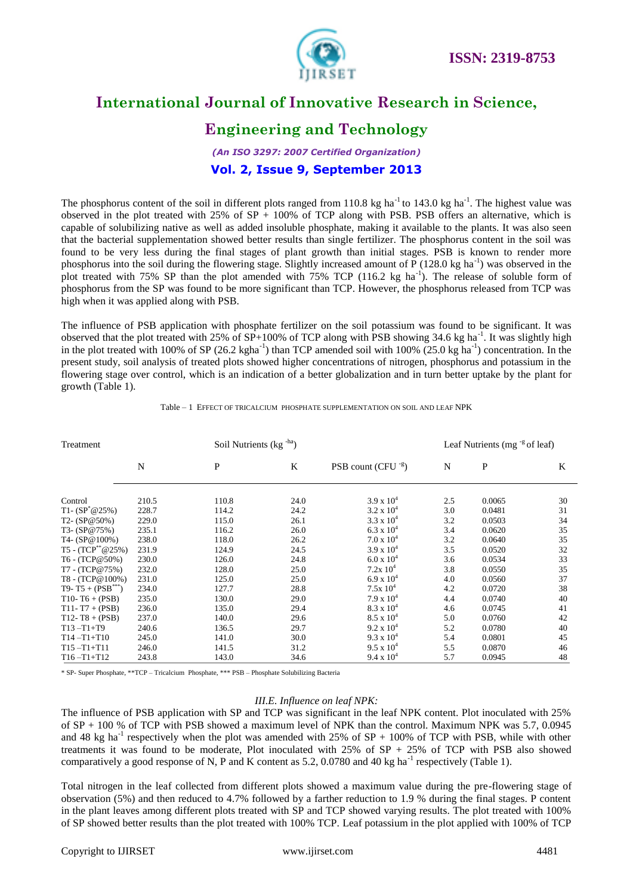

# **Engineering and Technology**

### *(An ISO 3297: 2007 Certified Organization)* **Vol. 2, Issue 9, September 2013**

The phosphorus content of the soil in different plots ranged from 110.8 kg ha<sup>-1</sup> to 143.0 kg ha<sup>-1</sup>. The highest value was observed in the plot treated with 25% of  $SP + 100\%$  of TCP along with PSB. PSB offers an alternative, which is capable of solubilizing native as well as added insoluble phosphate, making it available to the plants. It was also seen that the bacterial supplementation showed better results than single fertilizer. The phosphorus content in the soil was found to be very less during the final stages of plant growth than initial stages. PSB is known to render more phosphorus into the soil during the flowering stage. Slightly increased amount of  $\overline{P}$  (128.0 kg ha<sup>-1</sup>) was observed in the plot treated with 75% SP than the plot amended with 75% TCP (116.2 kg ha<sup>-1</sup>). The release of soluble form of phosphorus from the SP was found to be more significant than TCP. However, the phosphorus released from TCP was high when it was applied along with PSB.

The influence of PSB application with phosphate fertilizer on the soil potassium was found to be significant. It was observed that the plot treated with  $25\%$  of SP+100% of TCP along with PSB showing 34.6 kg ha<sup>-1</sup>. It was slightly high in the plot treated with 100% of SP (26.2 kgha<sup>-1</sup>) than TCP amended soil with 100% (25.0 kg ha<sup>-1</sup>) concentration. In the present study, soil analysis of treated plots showed higher concentrations of nitrogen, phosphorus and potassium in the flowering stage over control, which is an indication of a better globalization and in turn better uptake by the plant for growth (Table 1).

| Treatment                     |       |              | Soil Nutrients (kg -ha) |                        |     | Leaf Nutrients (mg $\frac{1}{5}$ of leaf) |    |  |
|-------------------------------|-------|--------------|-------------------------|------------------------|-----|-------------------------------------------|----|--|
|                               | N     | $\mathbf{P}$ | K                       | PSB count $(CFU^{-g})$ | N   | $\mathbf{P}$                              | K  |  |
| Control                       | 210.5 | 110.8        | 24.0                    | $3.9 \times 10^{4}$    | 2.5 | 0.0065                                    | 30 |  |
| T <sub>1</sub> - $(SP^*@25%)$ | 228.7 | 114.2        | 24.2                    | $3.2 \times 10^{4}$    | 3.0 | 0.0481                                    | 31 |  |
| $T2 - (SP@50\%)$              | 229.0 | 115.0        | 26.1                    | $3.3 \times 10^{4}$    | 3.2 | 0.0503                                    | 34 |  |
| $T3-(SP@75%)$                 | 235.1 | 116.2        | 26.0                    | $6.3 \times 10^{4}$    | 3.4 | 0.0620                                    | 35 |  |
| T4- $(SP@100\%)$              | 238.0 | 118.0        | 26.2                    | $7.0 \times 10^4$      | 3.2 | 0.0640                                    | 35 |  |
| $T5 - (TCP^{**}@25%)$         | 231.9 | 124.9        | 24.5                    | $3.9 \times 10^{4}$    | 3.5 | 0.0520                                    | 32 |  |
| T6 - (TCP@50%)                | 230.0 | 126.0        | 24.8                    | $6.0 \times 10^{4}$    | 3.6 | 0.0534                                    | 33 |  |
| T7 - (TCP@75%)                | 232.0 | 128.0        | 25.0                    | $7.2x\ 10^4$           | 3.8 | 0.0550                                    | 35 |  |
| T8 - (TCP@100%)               | 231.0 | 125.0        | 25.0                    | $6.9 \times 10^{4}$    | 4.0 | 0.0560                                    | 37 |  |
| $T9 - T5 + (PSB^{***})$       | 234.0 | 127.7        | 28.8                    | $7.5x 10^4$            | 4.2 | 0.0720                                    | 38 |  |
| $T10 - T6 + (PSB)$            | 235.0 | 130.0        | 29.0                    | $7.9 \times 10^4$      | 4.4 | 0.0740                                    | 40 |  |
| $T11 - T7 + (PSB)$            | 236.0 | 135.0        | 29.4                    | $8.3 \times 10^{4}$    | 4.6 | 0.0745                                    | 41 |  |
| $T12 - T8 + (PSB)$            | 237.0 | 140.0        | 29.6                    | $8.5 \times 10^{4}$    | 5.0 | 0.0760                                    | 42 |  |
| $T13 - T1 + T9$               | 240.6 | 136.5        | 29.7                    | $9.2 \times 10^{4}$    | 5.2 | 0.0780                                    | 40 |  |
| $T14 - T1 + T10$              | 245.0 | 141.0        | 30.0                    | $9.3 \times 10^{4}$    | 5.4 | 0.0801                                    | 45 |  |
| $T15 - T1 + T11$              | 246.0 | 141.5        | 31.2                    | $9.5 \times 10^{4}$    | 5.5 | 0.0870                                    | 46 |  |
| $T16 - T1 + T12$              | 243.8 | 143.0        | 34.6                    | $9.4 \times 10^{4}$    | 5.7 | 0.0945                                    | 48 |  |

Table – 1 EFFECT OF TRICALCIUM PHOSPHATE SUPPLEMENTATION ON SOIL AND LEAF NPK

\* SP- Super Phosphate, \*\*TCP – Tricalcium Phosphate, \*\*\* PSB – Phosphate Solubilizing Bacteria

#### *III.E. Influence on leaf NPK:*

The influence of PSB application with SP and TCP was significant in the leaf NPK content. Plot inoculated with 25% of SP + 100 % of TCP with PSB showed a maximum level of NPK than the control. Maximum NPK was 5.7, 0.0945 and 48 kg ha<sup>-1</sup> respectively when the plot was amended with 25% of  $SP + 100\%$  of TCP with PSB, while with other treatments it was found to be moderate, Plot inoculated with 25% of SP + 25% of TCP with PSB also showed comparatively a good response of N, P and K content as 5.2, 0.0780 and 40 kg ha<sup>-1</sup> respectively (Table 1).

Total nitrogen in the leaf collected from different plots showed a maximum value during the pre-flowering stage of observation (5%) and then reduced to 4.7% followed by a farther reduction to 1.9 % during the final stages. P content in the plant leaves among different plots treated with SP and TCP showed varying results. The plot treated with 100% of SP showed better results than the plot treated with 100% TCP. Leaf potassium in the plot applied with 100% of TCP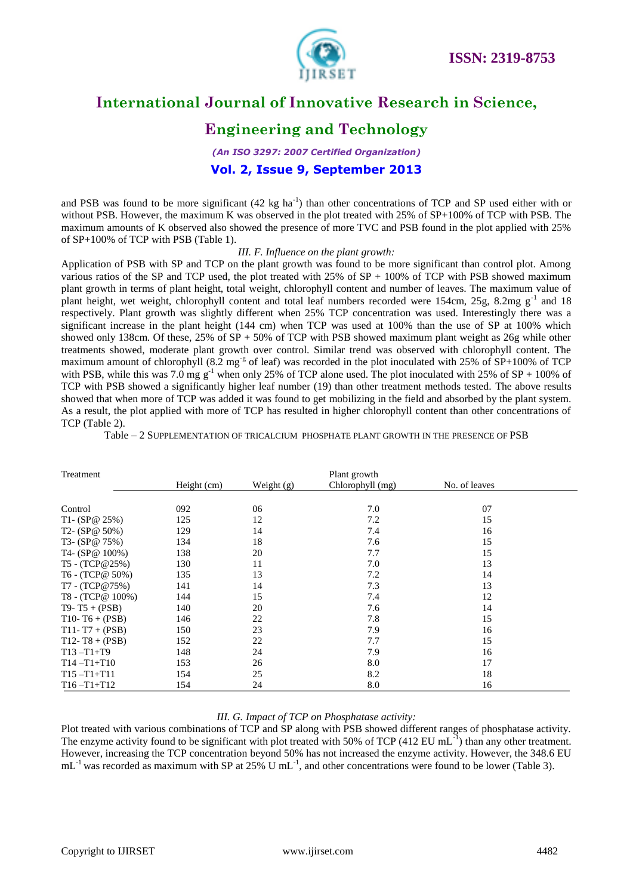

# **Engineering and Technology**

*(An ISO 3297: 2007 Certified Organization)* **Vol. 2, Issue 9, September 2013**

and PSB was found to be more significant  $(42 \text{ kg ha}^{-1})$  than other concentrations of TCP and SP used either with or without PSB. However, the maximum K was observed in the plot treated with 25% of SP+100% of TCP with PSB. The maximum amounts of K observed also showed the presence of more TVC and PSB found in the plot applied with 25% of SP+100% of TCP with PSB (Table 1).

#### *III. F. Influence on the plant growth:*

Application of PSB with SP and TCP on the plant growth was found to be more significant than control plot. Among various ratios of the SP and TCP used, the plot treated with  $25\%$  of SP + 100% of TCP with PSB showed maximum plant growth in terms of plant height, total weight, chlorophyll content and number of leaves. The maximum value of plant height, wet weight, chlorophyll content and total leaf numbers recorded were 154cm, 25g, 8.2mg g<sup>-1</sup> and 18 respectively. Plant growth was slightly different when 25% TCP concentration was used. Interestingly there was a significant increase in the plant height (144 cm) when TCP was used at 100% than the use of SP at 100% which showed only 138cm. Of these,  $25\%$  of  $SP + 50\%$  of TCP with PSB showed maximum plant weight as  $26g$  while other treatments showed, moderate plant growth over control. Similar trend was observed with chlorophyll content. The maximum amount of chlorophyll (8.2 mg<sup>-g</sup> of leaf) was recorded in the plot inoculated with 25% of  $\overline{SP}+100\%$  of TCP with PSB, while this was 7.0 mg  $g^{-1}$  when only 25% of TCP alone used. The plot inoculated with 25% of SP + 100% of TCP with PSB showed a significantly higher leaf number (19) than other treatment methods tested. The above results showed that when more of TCP was added it was found to get mobilizing in the field and absorbed by the plant system. As a result, the plot applied with more of TCP has resulted in higher chlorophyll content than other concentrations of TCP (Table 2).

Table – 2 SUPPLEMENTATION OF TRICALCIUM PHOSPHATE PLANT GROWTH IN THE PRESENCE OF PSB

| Treatment          |             |            | Plant growth     |               |  |  |
|--------------------|-------------|------------|------------------|---------------|--|--|
|                    | Height (cm) | Weight (g) | Chlorophyll (mg) | No. of leaves |  |  |
|                    |             |            |                  |               |  |  |
| Control            | 092         | 06         | 7.0              | 07            |  |  |
| T1- $(SP@ 25%)$    | 125         | 12         | 7.2              | 15            |  |  |
| T2- $(SP@ 50%)$    | 129         | 14         | 7.4              | 16            |  |  |
| T3- $(SP@ 75%)$    | 134         | 18         | 7.6              | 15            |  |  |
| T4- $(SP@ 100%)$   | 138         | 20         | 7.7              | 15            |  |  |
| T5 - (TCP@25%)     | 130         | 11         | 7.0              | 13            |  |  |
| T6 - (TCP@ 50%)    | 135         | 13         | 7.2              | 14            |  |  |
| T7 - (TCP@75%)     | 141         | 14         | 7.3              | 13            |  |  |
| T8 - (TCP@ 100%)   | 144         | 15         | 7.4              | 12            |  |  |
| $T9 - T5 + (PSB)$  | 140         | 20         | 7.6              | 14            |  |  |
| $T10 - T6 + (PSB)$ | 146         | 22         | 7.8              | 15            |  |  |
| $T11 - T7 + (PSB)$ | 150         | 23         | 7.9              | 16            |  |  |
| $T12 - T8 + (PSB)$ | 152         | 22         | 7.7              | 15            |  |  |
| $T13 - T1 + T9$    | 148         | 24         | 7.9              | 16            |  |  |
| $T14 - T1 + T10$   | 153         | 26         | 8.0              | 17            |  |  |
| $T15 - T1 + T11$   | 154         | 25         | 8.2              | 18            |  |  |
| $T16 - T1 + T12$   | 154         | 24         | 8.0              | 16            |  |  |

#### *III. G. Impact of TCP on Phosphatase activity:*

Plot treated with various combinations of TCP and SP along with PSB showed different ranges of phosphatase activity. The enzyme activity found to be significant with plot treated with 50% of TCP (412 EU mL $^{-1}$ ) than any other treatment. However, increasing the TCP concentration beyond 50% has not increased the enzyme activity. However, the 348.6 EU  $mL^{-1}$  was recorded as maximum with SP at 25% U mL<sup>-1</sup>, and other concentrations were found to be lower (Table 3).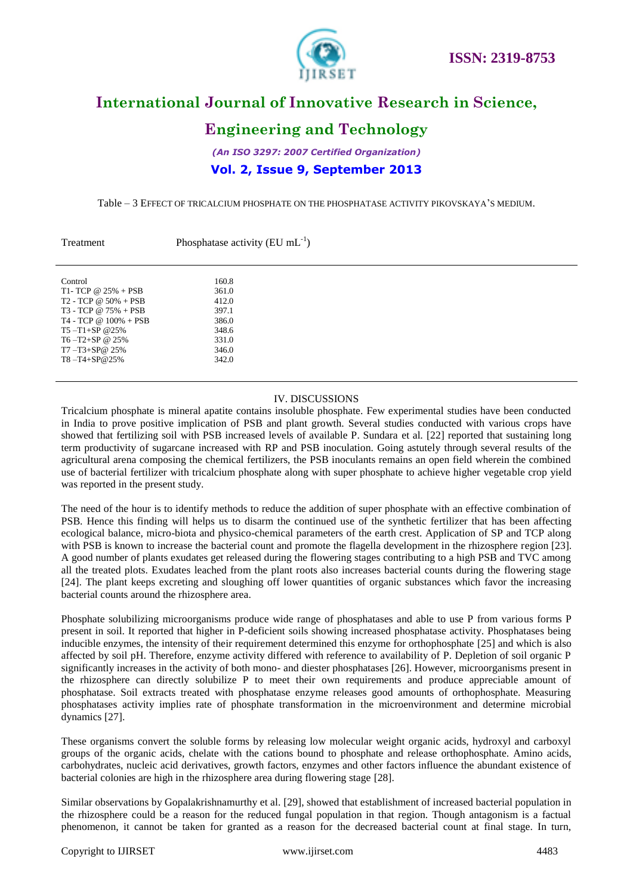

### **Engineering and Technology**

*(An ISO 3297: 2007 Certified Organization)* **Vol. 2, Issue 9, September 2013**

Table – 3 EFFECT OF TRICALCIUM PHOSPHATE ON THE PHOSPHATASE ACTIVITY PIKOVSKAYA'S MEDIUM.

| Treatment                    | Phosphatase activity (EU $mL^{-1}$ ) |  |  |  |  |
|------------------------------|--------------------------------------|--|--|--|--|
|                              |                                      |  |  |  |  |
| Control                      | 160.8                                |  |  |  |  |
| T1- TCP @ $25% + PSB$        | 361.0                                |  |  |  |  |
| $T2 - TCP \omega 50\% + PSB$ | 412.0                                |  |  |  |  |
| $T3 - TCP @ 75\% + PSB$      | 397.1                                |  |  |  |  |
| $T4 - TCP @ 100\% + PSB$     | 386.0                                |  |  |  |  |
| $T5 - T1 + SP$ @ 25%         | 348.6                                |  |  |  |  |
| $T6 - T2 + SP$ @ 25%         | 331.0                                |  |  |  |  |
| $T7 - T3 + SP@25\%$          | 346.0                                |  |  |  |  |
| $T8 - T4 + SP@25%$           | 342.0                                |  |  |  |  |

#### IV. DISCUSSIONS

Tricalcium phosphate is mineral apatite contains insoluble phosphate. Few experimental studies have been conducted in India to prove positive implication of PSB and plant growth. Several studies conducted with various crops have showed that fertilizing soil with PSB increased levels of available P. Sundara et al*.* [22] reported that sustaining long term productivity of sugarcane increased with RP and PSB inoculation. Going astutely through several results of the agricultural arena composing the chemical fertilizers, the PSB inoculants remains an open field wherein the combined use of bacterial fertilizer with tricalcium phosphate along with super phosphate to achieve higher vegetable crop yield was reported in the present study.

The need of the hour is to identify methods to reduce the addition of super phosphate with an effective combination of PSB. Hence this finding will helps us to disarm the continued use of the synthetic fertilizer that has been affecting ecological balance, micro-biota and physico-chemical parameters of the earth crest. Application of SP and TCP along with PSB is known to increase the bacterial count and promote the flagella development in the rhizosphere region [23]. A good number of plants exudates get released during the flowering stages contributing to a high PSB and TVC among all the treated plots. Exudates leached from the plant roots also increases bacterial counts during the flowering stage [24]. The plant keeps excreting and sloughing off lower quantities of organic substances which favor the increasing bacterial counts around the rhizosphere area.

Phosphate solubilizing microorganisms produce wide range of phosphatases and able to use P from various forms P present in soil. It reported that higher in P-deficient soils showing increased phosphatase activity. Phosphatases being inducible enzymes, the intensity of their requirement determined this enzyme for orthophosphate [25] and which is also affected by soil pH. Therefore, enzyme activity differed with reference to availability of P. Depletion of soil organic P significantly increases in the activity of both mono- and diester phosphatases [26]. However, microorganisms present in the rhizosphere can directly solubilize P to meet their own requirements and produce appreciable amount of phosphatase. Soil extracts treated with phosphatase enzyme releases good amounts of orthophosphate. Measuring phosphatases activity implies rate of phosphate transformation in the microenvironment and determine microbial dynamics [27].

These organisms convert the soluble forms by releasing low molecular weight organic acids, hydroxyl and carboxyl groups of the organic acids, chelate with the cations bound to phosphate and release orthophosphate. Amino acids, carbohydrates, nucleic acid derivatives, growth factors, enzymes and other factors influence the abundant existence of bacterial colonies are high in the rhizosphere area during flowering stage [28].

Similar observations by Gopalakrishnamurthy et al. [29], showed that establishment of increased bacterial population in the rhizosphere could be a reason for the reduced fungal population in that region. Though antagonism is a factual phenomenon, it cannot be taken for granted as a reason for the decreased bacterial count at final stage. In turn,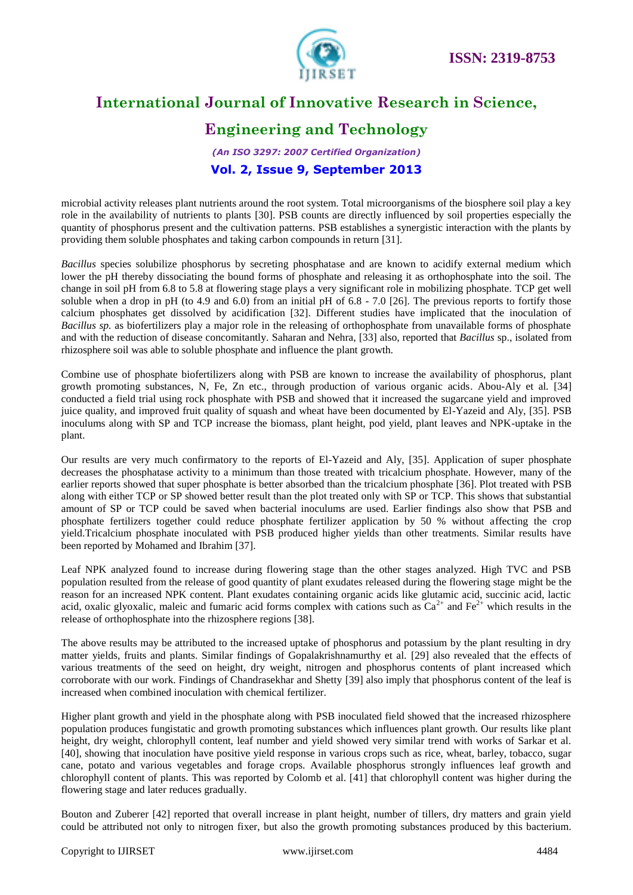

# **Engineering and Technology**

### *(An ISO 3297: 2007 Certified Organization)* **Vol. 2, Issue 9, September 2013**

microbial activity releases plant nutrients around the root system. Total microorganisms of the biosphere soil play a key role in the availability of nutrients to plants [30]. PSB counts are directly influenced by soil properties especially the quantity of phosphorus present and the cultivation patterns. PSB establishes a synergistic interaction with the plants by providing them soluble phosphates and taking carbon compounds in return [31].

*Bacillus* species solubilize phosphorus by secreting phosphatase and are known to acidify external medium which lower the pH thereby dissociating the bound forms of phosphate and releasing it as orthophosphate into the soil. The change in soil pH from 6.8 to 5.8 at flowering stage plays a very significant role in mobilizing phosphate. TCP get well soluble when a drop in pH (to 4.9 and 6.0) from an initial pH of  $6.8 - 7.0$  [26]. The previous reports to fortify those calcium phosphates get dissolved by acidification [32]. Different studies have implicated that the inoculation of *Bacillus sp.* as biofertilizers play a major role in the releasing of orthophosphate from unavailable forms of phosphate and with the reduction of disease concomitantly. Saharan and Nehra, [33] also, reported that *Bacillus* sp., isolated from rhizosphere soil was able to soluble phosphate and influence the plant growth.

Combine use of phosphate biofertilizers along with PSB are known to increase the availability of phosphorus, plant growth promoting substances, N, Fe, Zn etc., through production of various organic acids. Abou-Aly et al*.* [34] conducted a field trial using rock phosphate with PSB and showed that it increased the sugarcane yield and improved juice quality, and improved fruit quality of squash and wheat have been documented by El-Yazeid and Aly, [35]. PSB inoculums along with SP and TCP increase the biomass, plant height, pod yield, plant leaves and NPK-uptake in the plant.

Our results are very much confirmatory to the reports of El-Yazeid and Aly, [35]. Application of super phosphate decreases the phosphatase activity to a minimum than those treated with tricalcium phosphate. However, many of the earlier reports showed that super phosphate is better absorbed than the tricalcium phosphate [36]. Plot treated with PSB along with either TCP or SP showed better result than the plot treated only with SP or TCP. This shows that substantial amount of SP or TCP could be saved when bacterial inoculums are used. Earlier findings also show that PSB and phosphate fertilizers together could reduce phosphate fertilizer application by 50 % without affecting the crop yield.Tricalcium phosphate inoculated with PSB produced higher yields than other treatments. Similar results have been reported by Mohamed and Ibrahim [37].

Leaf NPK analyzed found to increase during flowering stage than the other stages analyzed. High TVC and PSB population resulted from the release of good quantity of plant exudates released during the flowering stage might be the reason for an increased NPK content. Plant exudates containing organic acids like glutamic acid, succinic acid, lactic acid, oxalic glyoxalic, maleic and fumaric acid forms complex with cations such as  $Ca^{2+}$  and  $Fe^{2+}$  which results in the release of orthophosphate into the rhizosphere regions [38].

The above results may be attributed to the increased uptake of phosphorus and potassium by the plant resulting in dry matter yields, fruits and plants. Similar findings of Gopalakrishnamurthy et al. [29] also revealed that the effects of various treatments of the seed on height, dry weight, nitrogen and phosphorus contents of plant increased which corroborate with our work. Findings of Chandrasekhar and Shetty [39] also imply that phosphorus content of the leaf is increased when combined inoculation with chemical fertilizer.

Higher plant growth and yield in the phosphate along with PSB inoculated field showed that the increased rhizosphere population produces fungistatic and growth promoting substances which influences plant growth. Our results like plant height, dry weight, chlorophyll content, leaf number and yield showed very similar trend with works of Sarkar et al. [40], showing that inoculation have positive yield response in various crops such as rice, wheat, barley, tobacco, sugar cane, potato and various vegetables and forage crops. Available phosphorus strongly influences leaf growth and chlorophyll content of plants. This was reported by Colomb et al. [41] that chlorophyll content was higher during the flowering stage and later reduces gradually.

Bouton and Zuberer [42] reported that overall increase in plant height, number of tillers, dry matters and grain yield could be attributed not only to nitrogen fixer, but also the growth promoting substances produced by this bacterium.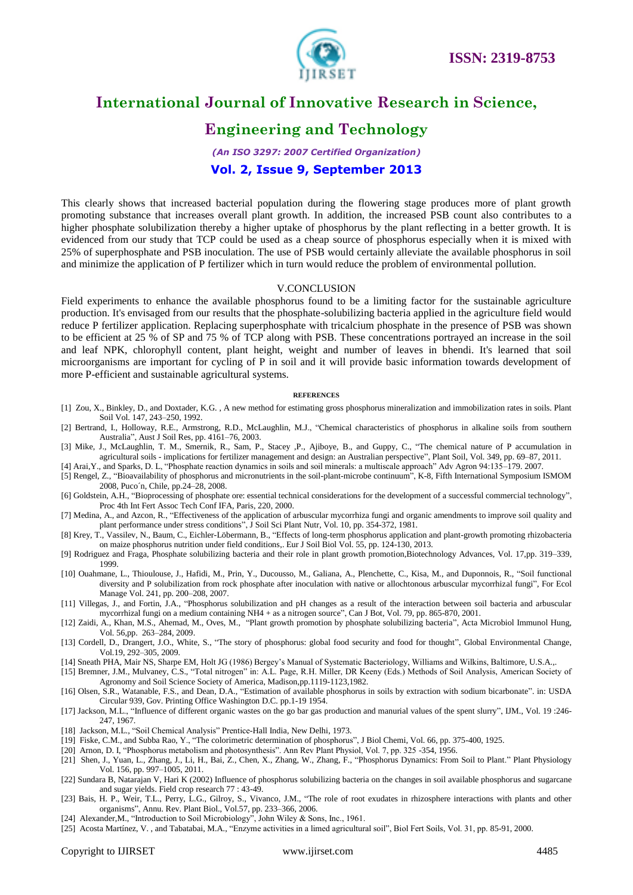

### **Engineering and Technology**

### *(An ISO 3297: 2007 Certified Organization)*

### **Vol. 2, Issue 9, September 2013**

This clearly shows that increased bacterial population during the flowering stage produces more of plant growth promoting substance that increases overall plant growth. In addition, the increased PSB count also contributes to a higher phosphate solubilization thereby a higher uptake of phosphorus by the plant reflecting in a better growth. It is evidenced from our study that TCP could be used as a cheap source of phosphorus especially when it is mixed with 25% of superphosphate and PSB inoculation. The use of PSB would certainly alleviate the available phosphorus in soil and minimize the application of P fertilizer which in turn would reduce the problem of environmental pollution.

#### V.CONCLUSION

Field experiments to enhance the available phosphorus found to be a limiting factor for the sustainable agriculture production. It's envisaged from our results that the phosphate-solubilizing bacteria applied in the agriculture field would reduce P fertilizer application. Replacing superphosphate with tricalcium phosphate in the presence of PSB was shown to be efficient at 25 % of SP and 75 % of TCP along with PSB. These concentrations portrayed an increase in the soil and leaf NPK, chlorophyll content, plant height, weight and number of leaves in bhendi. It's learned that soil microorganisms are important for cycling of P in soil and it will provide basic information towards development of more P-efficient and sustainable agricultural systems.

#### **REFERENCES**

- [1] Zou, X., Binkley, D., and Doxtader, K.G. , A new method for estimating gross phosphorus mineralization and immobilization rates in soils. Plant Soil Vol. 147, 243–250, 1992.
- [2] Bertrand, I., Holloway, R.E., Armstrong, R.D., McLaughlin, M.J., "Chemical characteristics of phosphorus in alkaline soils from southern Australia", Aust J Soil Res, pp. 4161–76, 2003.
- [3] Mike, J., McLaughlin, T. M., Smernik, R., Sam, P., Stacey ,P., Ajiboye, B., and Guppy, C., "The chemical nature of P accumulation in agricultural soils - implications for fertilizer management and design: an Australian perspective", Plant Soil, Vol. 349, pp. 69–87, 2011.
- [4] Arai,Y., and Sparks, D. L, "Phosphate reaction dynamics in soils and soil minerals: a multiscale approach" Adv Agron 94:135–179. 2007.
- [5] Rengel, Z., "Bioavailability of phosphorus and micronutrients in the soil-plant-microbe continuum", K-8, Fifth International Symposium ISMOM 2008, Puco´n, Chile, pp.24–28, 2008.
- [6] Goldstein, A.H., "Bioprocessing of phosphate ore: essential technical considerations for the development of a successful commercial technology", Proc 4th Int Fert Assoc Tech Conf IFA, Paris, 220, 2000.
- [7] Medina, A., and Azcon, R., "Effectiveness of the application of arbuscular mycorrhiza fungi and organic amendments to improve soil quality and plant performance under stress conditions", J Soil Sci Plant Nutr, Vol. 10, pp. 354-372, 1981.
- [8] Krey, T., Vassilev, N., Baum, C., Eichler-Löbermann, B., "Effects of long-term phosphorus application and plant-growth promoting rhizobacteria on maize phosphorus nutrition under field conditions,. Eur J Soil Biol Vol. 55, pp. 124-130, 2013.
- [9] Rodriguez and Fraga, Phosphate solubilizing bacteria and their role in plant growth promotion,Biotechnology Advances, Vol. 17,pp. 319–339, 1999.
- [10] Ouahmane, L., Thioulouse, J., Hafidi, M., Prin, Y., Ducousso, M., Galiana, A., Plenchette, C., Kisa, M., and Duponnois, R., "Soil functional diversity and P solubilization from rock phosphate after inoculation with native or allochtonous arbuscular mycorrhizal fungi", For Ecol Manage Vol. 241, pp. 200–208, 2007.
- [11] Villegas, J., and Fortin, J.A., "Phosphorus solubilization and pH changes as a result of the interaction between soil bacteria and arbuscular mycorrhizal fungi on a medium containing NH4 + as a nitrogen source", Can J Bot, Vol. 79, pp. 865-870, 2001.
- [12] Zaidi, A., Khan, M.S., Ahemad, M., Oves, M., "Plant growth promotion by phosphate solubilizing bacteria", Acta Microbiol Immunol Hung, Vol. 56,pp. 263–284, 2009.
- [13] Cordell, D., Drangert, J.O., White, S., "The story of phosphorus: global food security and food for thought", Global Environmental Change, Vol.19, 292–305, 2009.
- [14] Sneath PHA, Mair NS, Sharpe EM, Holt JG (1986) Bergey's Manual of Systematic Bacteriology, Williams and Wilkins, Baltimore, U.S.A.,.
- [15] Bremner, J.M., Mulvaney, C.S., "Total nitrogen" in: A.L. Page, R.H. Miller, DR Keeny (Eds.) Methods of Soil Analysis, American Society of Agronomy and Soil Science Society of America, Madison,pp.1119-1123,1982.
- [16] Olsen, S.R., Watanable, F.S., and Dean, D.A., "Estimation of available phosphorus in soils by extraction with sodium bicarbonate". in: USDA Circular 939, Gov. Printing Office Washington D.C. pp.1-19 1954.
- [17] Jackson, M.L., "Influence of different organic wastes on the go bar gas production and manurial values of the spent slurry", IJM., Vol. 19 :246- 247, 1967.
- [18] Jackson, M.L., "Soil Chemical Analysis" Prentice-Hall India, New Delhi, 1973.
- [19] Fiske, C.M., and Subba Rao, Y., "The colorimetric determination of phosphorus", J Biol Chemi, Vol. 66, pp. 375-400, 1925.
- [20] Arnon, D. I, "Phosphorus metabolism and photosynthesis". Ann Rev Plant Physiol, Vol. 7, pp. 325 -354, 1956.
- [21] Shen, J., Yuan, L., Zhang, J., Li, H., Bai, Z., Chen, X., Zhang, W., Zhang, F., "Phosphorus Dynamics: From Soil to Plant." Plant Physiology Vol. 156, pp. 997–1005, 2011.
- [22] Sundara B, Natarajan V, Hari K (2002) Influence of phosphorus solubilizing bacteria on the changes in soil available phosphorus and sugarcane and sugar yields. Field crop research 77 : 43-49.
- [23] Bais, H. P., Weir, T.L., Perry, L.G., Gilroy, S., Vivanco, J.M., "The role of root exudates in rhizosphere interactions with plants and other organisms", Annu. Rev. Plant Biol., Vol.57, pp. 233–366, 2006.
- [24] Alexander,M., "Introduction to Soil Microbiology", John Wiley & Sons, Inc., 1961.
- [25] Acosta Martínez, V. , and Tabatabai, M.A., "Enzyme activities in a limed agricultural soil", Biol Fert Soils, Vol. 31, pp. 85-91, 2000.